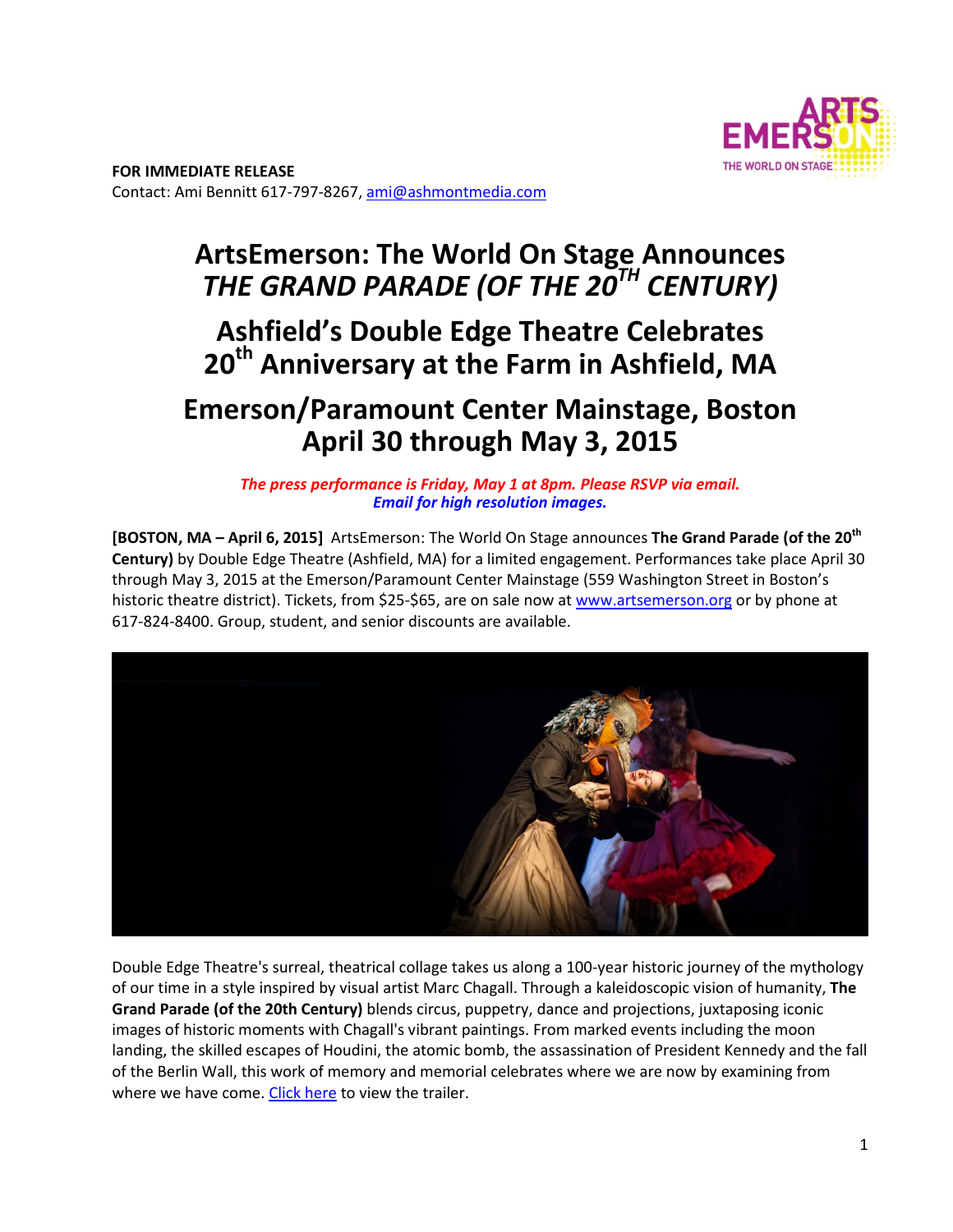

# **ArtsEmerson: The World On Stage Announces**  *THE GRAND PARADE (OF THE 20TH CENTURY)*

# **Ashfield's Double Edge Theatre Celebrates 20th Anniversary at the Farm in Ashfield, MA**

# **Emerson/Paramount Center Mainstage, Boston April 30 through May 3, 2015**

*The press performance is Friday, May 1 at 8pm. Please RSVP via email. Email for high resolution images.* 

**[BOSTON, MA – April 6, 2015]** ArtsEmerson: The World On Stage announces **The Grand Parade (of the 20th Century)** by Double Edge Theatre (Ashfield, MA) for a limited engagement. Performances take place April 30 through May 3, 2015 at the Emerson/Paramount Center Mainstage (559 Washington Street in Boston's historic theatre district). Tickets, from \$25-\$65, are on sale now at www.artsemerson.org or by phone at 617‐824‐8400. Group, student, and senior discounts are available.



Double Edge Theatre's surreal, theatrical collage takes us along a 100‐year historic journey of the mythology of our time in a style inspired by visual artist Marc Chagall. Through a kaleidoscopic vision of humanity, **The Grand Parade (of the 20th Century)** blends circus, puppetry, dance and projections, juxtaposing iconic images of historic moments with Chagall's vibrant paintings. From marked events including the moon landing, the skilled escapes of Houdini, the atomic bomb, the assassination of President Kennedy and the fall of the Berlin Wall, this work of memory and memorial celebrates where we are now by examining from where we have come. Click here to view the trailer.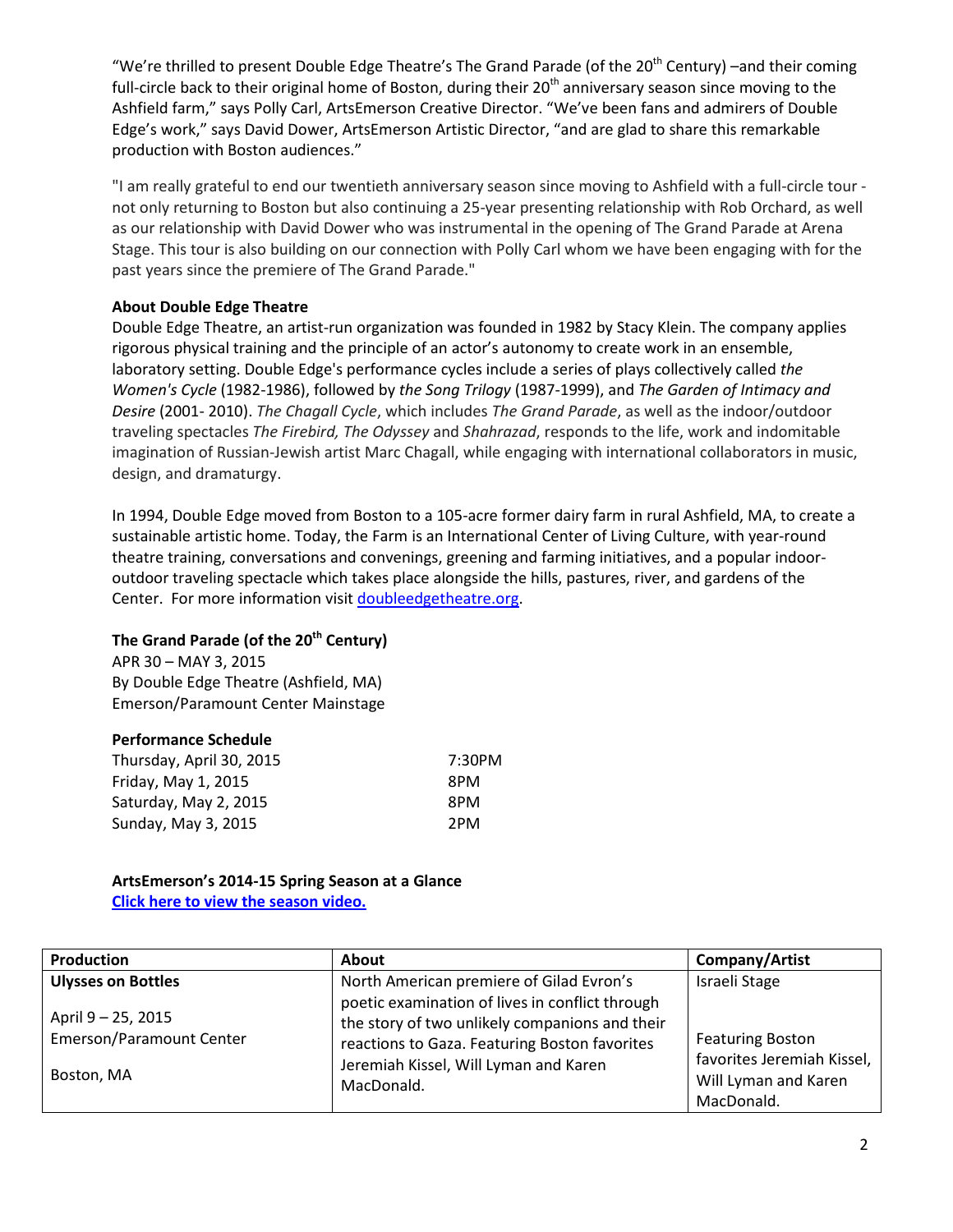"We're thrilled to present Double Edge Theatre's The Grand Parade (of the 20<sup>th</sup> Century) –and their coming full-circle back to their original home of Boston, during their 20<sup>th</sup> anniversary season since moving to the Ashfield farm," says Polly Carl, ArtsEmerson Creative Director. "We've been fans and admirers of Double Edge's work," says David Dower, ArtsEmerson Artistic Director, "and are glad to share this remarkable production with Boston audiences."

"I am really grateful to end our twentieth anniversary season since moving to Ashfield with a full‐circle tour ‐ not only returning to Boston but also continuing a 25‐year presenting relationship with Rob Orchard, as well as our relationship with David Dower who was instrumental in the opening of The Grand Parade at Arena Stage. This tour is also building on our connection with Polly Carl whom we have been engaging with for the past years since the premiere of The Grand Parade."

## **About Double Edge Theatre**

Double Edge Theatre, an artist‐run organization was founded in 1982 by Stacy Klein. The company applies rigorous physical training and the principle of an actor's autonomy to create work in an ensemble, laboratory setting. Double Edge's performance cycles include a series of plays collectively called *the Women's Cycle* (1982‐1986), followed by *the Song Trilogy* (1987‐1999), and *The Garden of Intimacy and Desire* (2001‐ 2010). *The Chagall Cycle*, which includes *The Grand Parade*, as well as the indoor/outdoor traveling spectacles *The Firebird, The Odyssey* and *Shahrazad*, responds to the life, work and indomitable imagination of Russian-Jewish artist Marc Chagall, while engaging with international collaborators in music, design, and dramaturgy.

In 1994, Double Edge moved from Boston to a 105‐acre former dairy farm in rural Ashfield, MA, to create a sustainable artistic home. Today, the Farm is an International Center of Living Culture, with year-round theatre training, conversations and convenings, greening and farming initiatives, and a popular indoor‐ outdoor traveling spectacle which takes place alongside the hills, pastures, river, and gardens of the Center. For more information visit doubleedgetheatre.org.

## **The Grand Parade (of the 20th Century)**

APR 30 – MAY 3, 2015 By Double Edge Theatre (Ashfield, MA) Emerson/Paramount Center Mainstage

#### **Performance Schedule**

| Thursday, April 30, 2015 | 7:30PM |
|--------------------------|--------|
| Friday, May 1, 2015      | 8PM    |
| Saturday, May 2, 2015    | 8PM    |
| Sunday, May 3, 2015      | 2PM    |

#### **ArtsEmerson's 2014-15 Spring Season at a Glance Click here to view the season video.**

| Production                                            | <b>About</b>                                                                                                                                                                                | Company/Artist                                                                              |
|-------------------------------------------------------|---------------------------------------------------------------------------------------------------------------------------------------------------------------------------------------------|---------------------------------------------------------------------------------------------|
| <b>Ulysses on Bottles</b>                             | North American premiere of Gilad Evron's                                                                                                                                                    | Israeli Stage                                                                               |
| April 9 - 25, 2015<br><b>Emerson/Paramount Center</b> | poetic examination of lives in conflict through<br>the story of two unlikely companions and their<br>reactions to Gaza. Featuring Boston favorites<br>Jeremiah Kissel, Will Lyman and Karen | <b>Featuring Boston</b><br>favorites Jeremiah Kissel,<br>Will Lyman and Karen<br>MacDonald. |
| Boston, MA                                            | MacDonald.                                                                                                                                                                                  |                                                                                             |